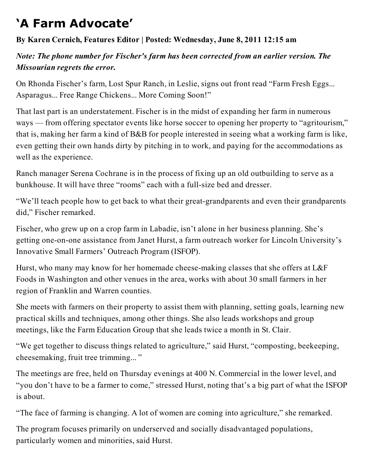## **'A Farm Advocate'**

## **By Karen Cernich, Features Editor | Posted: Wednesday, June 8, 2011 12:15 am**

## *Note: The phone number for Fischer's farm has been corrected from an earlier version. The Missourian regrets the error.*

On Rhonda Fischer's farm, Lost Spur Ranch, in Leslie, signs out front read "Farm Fresh Eggs... Asparagus... Free Range Chickens... More Coming Soon!"

That last part is an understatement. Fischer is in the midst of expanding her farm in numerous ways — from offering spectator events like horse soccer to opening her property to "agritourism," that is, making her farm a kind of B&B for people interested in seeing what a working farm is like, even getting their own hands dirty by pitching in to work, and paying for the accommodations as well as the experience.

Ranch manager Serena Cochrane is in the process of fixing up an old outbuilding to serve as a bunkhouse. It will have three "rooms" each with a full-size bed and dresser.

"We'll teach people how to get back to what their great-grandparents and even their grandparents did," Fischer remarked.

Fischer, who grew up on a crop farm in Labadie, isn't alone in her business planning. She's getting one-on-one assistance from Janet Hurst, a farm outreach worker for Lincoln University's Innovative Small Farmers' Outreach Program (ISFOP).

Hurst, who many may know for her homemade cheese-making classes that she offers at L&F Foods in Washington and other venues in the area, works with about 30 small farmers in her region of Franklin and Warren counties.

She meets with farmers on their property to assist them with planning, setting goals, learning new practical skills and techniques, among other things. She also leads workshops and group meetings, like the Farm Education Group that she leads twice a month in St. Clair.

"We get together to discuss things related to agriculture," said Hurst, "composting, beekeeping, cheesemaking, fruit tree trimming... "

The meetings are free, held on Thursday evenings at 400 N. Commercial in the lower level, and "you don't have to be a farmer to come," stressed Hurst, noting that's a big part of what the ISFOP is about.

"The face of farming is changing. A lot of women are coming into agriculture," she remarked.

The program focuses primarily on underserved and socially disadvantaged populations, particularly women and minorities, said Hurst.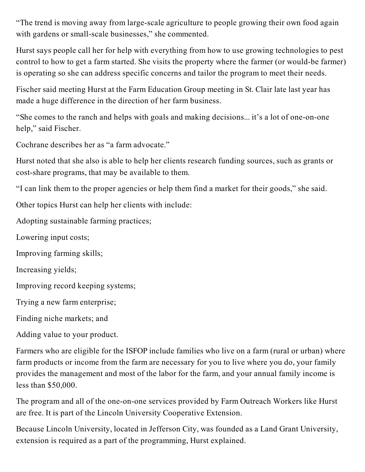"The trend is moving away from large-scale agriculture to people growing their own food again with gardens or small-scale businesses," she commented.

Hurst says people call her for help with everything from how to use growing technologies to pest control to how to get a farm started. She visits the property where the farmer (or would-be farmer) is operating so she can address specific concerns and tailor the program to meet their needs.

Fischer said meeting Hurst at the Farm Education Group meeting in St. Clair late last year has made a huge difference in the direction of her farm business.

"She comes to the ranch and helps with goals and making decisions... it's a lot of one-on-one help," said Fischer.

Cochrane describes her as "a farm advocate."

Hurst noted that she also is able to help her clients research funding sources, such as grants or cost-share programs, that may be available to them.

"I can link them to the proper agencies or help them find a market for their goods," she said.

Other topics Hurst can help her clients with include:

Adopting sustainable farming practices;

Lowering input costs;

Improving farming skills;

Increasing yields;

Improving record keeping systems;

Trying a new farm enterprise;

Finding niche markets; and

Adding value to your product.

Farmers who are eligible for the ISFOP include families who live on a farm (rural or urban) where farm products or income from the farm are necessary for you to live where you do, your family provides the management and most of the labor for the farm, and your annual family income is less than \$50,000.

The program and all of the one-on-one services provided by Farm Outreach Workers like Hurst are free. It is part of the Lincoln University Cooperative Extension.

Because Lincoln University, located in Jefferson City, was founded as a Land Grant University, extension is required as a part of the programming, Hurst explained.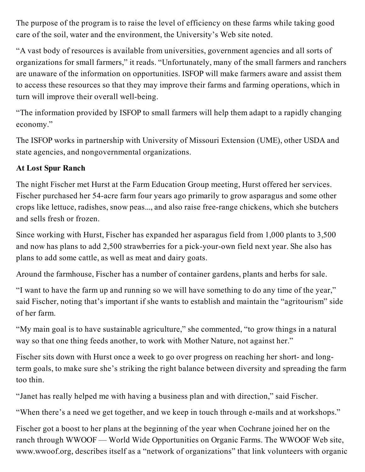The purpose of the program is to raise the level of efficiency on these farms while taking good care of the soil, water and the environment, the University's Web site noted.

"A vast body of resources is available from universities, government agencies and all sorts of organizations for small farmers," it reads. "Unfortunately, many of the small farmers and ranchers are unaware of the information on opportunities. ISFOP will make farmers aware and assist them to access these resources so that they may improve their farms and farming operations, which in turn will improve their overall well-being.

"The information provided by ISFOP to small farmers will help them adapt to a rapidly changing economy."

The ISFOP works in partnership with University of Missouri Extension (UME), other USDA and state agencies, and nongovernmental organizations.

## **At Lost Spur Ranch**

The night Fischer met Hurst at the Farm Education Group meeting, Hurst offered her services. Fischer purchased her 54-acre farm four years ago primarily to grow asparagus and some other crops like lettuce, radishes, snow peas..., and also raise free-range chickens, which she butchers and sells fresh or frozen.

Since working with Hurst, Fischer has expanded her asparagus field from 1,000 plants to 3,500 and now has plans to add 2,500 strawberries for a pick-your-own field next year. She also has plans to add some cattle, as well as meat and dairy goats.

Around the farmhouse, Fischer has a number of container gardens, plants and herbs for sale.

"I want to have the farm up and running so we will have something to do any time of the year," said Fischer, noting that's important if she wants to establish and maintain the "agritourism" side of her farm.

"My main goal is to have sustainable agriculture," she commented, "to grow things in a natural way so that one thing feeds another, to work with Mother Nature, not against her."

Fischer sits down with Hurst once a week to go over progress on reaching her short- and longterm goals, to make sure she's striking the right balance between diversity and spreading the farm too thin.

"Janet has really helped me with having a business plan and with direction," said Fischer.

"When there's a need we get together, and we keep in touch through e-mails and at workshops."

Fischer got a boost to her plans at the beginning of the year when Cochrane joined her on the ranch through WWOOF — World Wide Opportunities on Organic Farms. The WWOOF Web site, www.wwoof.org, describes itself as a "network of organizations" that link volunteers with organic